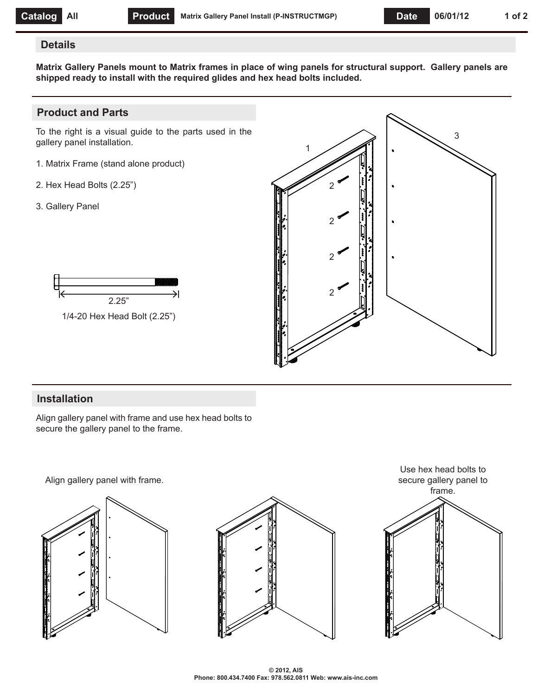#### **Details**

**Matrix Gallery Panels mount to Matrix frames in place of wing panels for structural support. Gallery panels are shipped ready to install with the required glides and hex head bolts included.**

## **Product and Parts**

To the right is a visual guide to the parts used in the gallery panel installation.

- 1. Matrix Frame (stand alone product)
- 2. Hex Head Bolts (2.25")
- 3. Gallery Panel





## **Installation**

Align gallery panel with frame and use hex head bolts to secure the gallery panel to the frame.